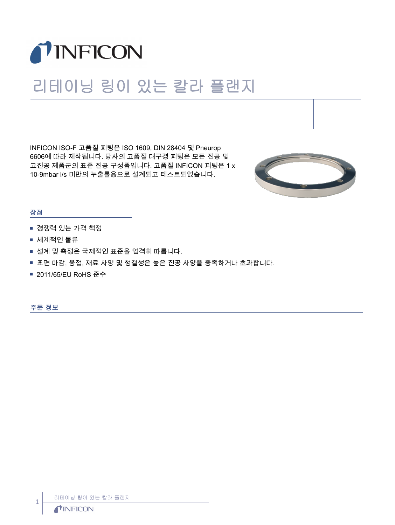

## 리테이닝 링이 있는 칼라 플랜지

INFICON ISO-F 고품질 피팅은 ISO 1609, DIN 28404 및 Pneurop 6606에 따라 제작됩니다. 당사의 고품질 대구경 피팅은 모든 진공 및 고진공 제품군의 표준 진공 구성품입니다. 고품질 INFICON 피팅은 1 x 10-9mbar l/s 미만의 누출률용으로 설계되고 테스트되었습니다.



## 장점

- 경쟁력 있는 가격 책정
- 세계적인 물류
- 설계 및 측정은 국제적인 표준을 엄격히 따릅니다.
- 표면 마감, 용접, 재료 사양 및 청결성은 높은 진공 사양을 충족하거나 초과합니다.
- 2011/65/EU RoHS 준수

주문 정보

리테이닝 링이 있는 칼라 플랜지

1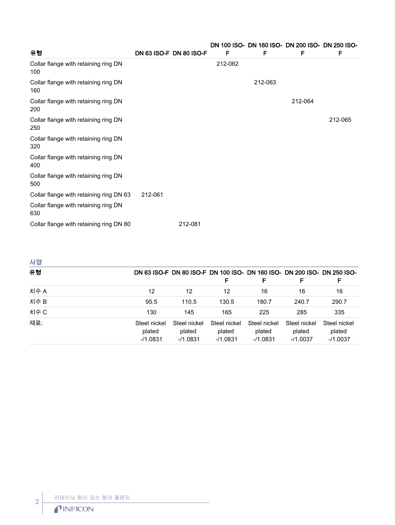| 유형                                          | <b>DN 63 ISO-F DN 80 ISO-F</b> | F       | DN 100 ISO- DN 160 ISO- DN 200 ISO- DN 250 ISO-<br>F | F       | F       |
|---------------------------------------------|--------------------------------|---------|------------------------------------------------------|---------|---------|
| Collar flange with retaining ring DN<br>100 |                                | 212-062 |                                                      |         |         |
| Collar flange with retaining ring DN<br>160 |                                |         | 212-063                                              |         |         |
| Collar flange with retaining ring DN<br>200 |                                |         |                                                      | 212-064 |         |
| Collar flange with retaining ring DN<br>250 |                                |         |                                                      |         | 212-065 |
| Collar flange with retaining ring DN<br>320 |                                |         |                                                      |         |         |
| Collar flange with retaining ring DN<br>400 |                                |         |                                                      |         |         |
| Collar flange with retaining ring DN<br>500 |                                |         |                                                      |         |         |
| Collar flange with retaining ring DN 63     | 212-061                        |         |                                                      |         |         |
| Collar flange with retaining ring DN<br>630 |                                |         |                                                      |         |         |
| Collar flange with retaining ring DN 80     | 212-081                        |         |                                                      |         |         |

| 사양   |                                      |                                     |                                      |                                      |                                      |                                                                               |
|------|--------------------------------------|-------------------------------------|--------------------------------------|--------------------------------------|--------------------------------------|-------------------------------------------------------------------------------|
| 유형   |                                      |                                     | F                                    | F                                    |                                      | DN 63 ISO-F DN 80 ISO-F DN 100 ISO- DN 160 ISO- DN 200 ISO- DN 250 ISO-<br>F. |
| 치수 A | 12                                   | 12                                  | 12                                   | 16                                   | 16                                   | 16                                                                            |
| 치수 B | 95.5                                 | 110.5                               | 130.5                                | 180.7                                | 240.7                                | 290.7                                                                         |
| 치수 C | 130                                  | 145                                 | 165                                  | 225                                  | 285                                  | 335                                                                           |
| 재료:  | Steel nickel<br>plated<br>$-11.0831$ | Steel nickel<br>plated<br>$-1.0831$ | Steel nickel<br>plated<br>$-11.0831$ | Steel nickel<br>plated<br>$-11.0831$ | Steel nickel<br>plated<br>$-11.0037$ | Steel nickel<br>plated<br>$-11.0037$                                          |
|      |                                      |                                     |                                      |                                      |                                      |                                                                               |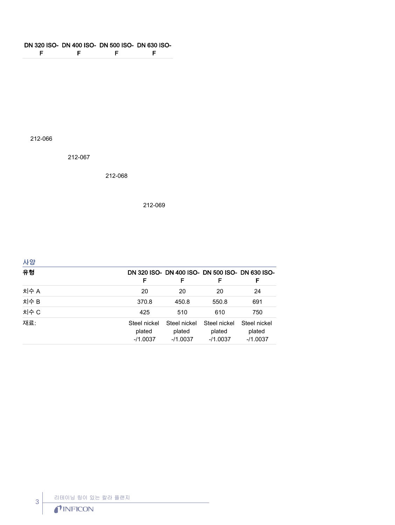## DN 320 ISO-DN 400 ISO-DN 500 ISO-DN 630 ISO-F F F F

212-066

212-067

212-068

212-069

| 사양   |                                      |                                                      |                                     |                                      |
|------|--------------------------------------|------------------------------------------------------|-------------------------------------|--------------------------------------|
| 유형   | F                                    | DN 320 ISO- DN 400 ISO- DN 500 ISO- DN 630 ISO-<br>F | F                                   | F                                    |
| 치수 A | 20                                   | 20                                                   | 20                                  | 24                                   |
| 치수 B | 370.8                                | 450.8                                                | 550.8                               | 691                                  |
| 치수 C | 425                                  | 510                                                  | 610                                 | 750                                  |
| 재료:  | Steel nickel<br>plated<br>$-11.0037$ | Steel nickel<br>plated<br>$-11.0037$                 | Steel nickel<br>plated<br>$-1.0037$ | Steel nickel<br>plated<br>$-11.0037$ |